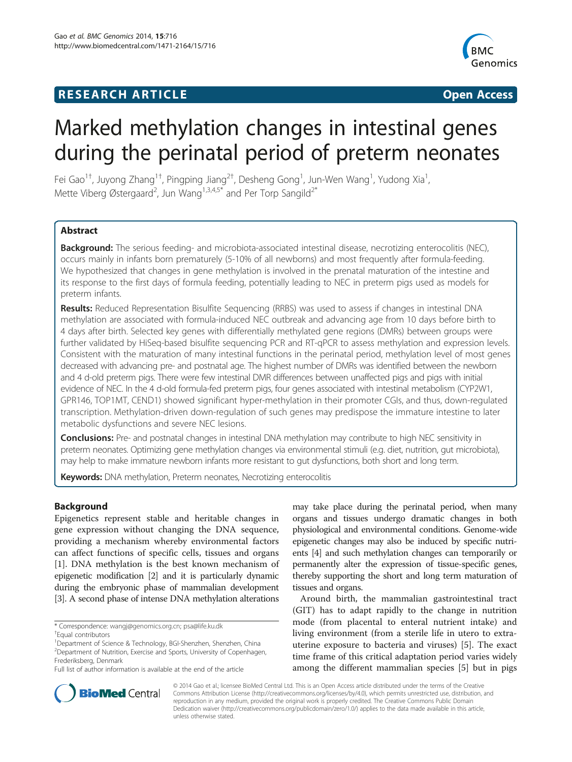# **RESEARCH ARTICLE Example 2018 12:00 Department of the CONNECTION CONNECTION CONNECTION CONNECTION**



# Marked methylation changes in intestinal genes during the perinatal period of preterm neonates

Fei Gao<sup>1†</sup>, Juyong Zhang<sup>1†</sup>, Pingping Jiang<sup>2†</sup>, Desheng Gong<sup>1</sup>, Jun-Wen Wang<sup>1</sup>, Yudong Xia<sup>1</sup> , Mette Viberg Østergaard<sup>2</sup>, Jun Wang<sup>1,3,4,5\*</sup> and Per Torp Sangild<sup>2\*</sup>

# Abstract

Background: The serious feeding- and microbiota-associated intestinal disease, necrotizing enterocolitis (NEC), occurs mainly in infants born prematurely (5-10% of all newborns) and most frequently after formula-feeding. We hypothesized that changes in gene methylation is involved in the prenatal maturation of the intestine and its response to the first days of formula feeding, potentially leading to NEC in preterm pigs used as models for preterm infants.

Results: Reduced Representation Bisulfite Sequencing (RRBS) was used to assess if changes in intestinal DNA methylation are associated with formula-induced NEC outbreak and advancing age from 10 days before birth to 4 days after birth. Selected key genes with differentially methylated gene regions (DMRs) between groups were further validated by HiSeq-based bisulfite sequencing PCR and RT-qPCR to assess methylation and expression levels. Consistent with the maturation of many intestinal functions in the perinatal period, methylation level of most genes decreased with advancing pre- and postnatal age. The highest number of DMRs was identified between the newborn and 4 d-old preterm pigs. There were few intestinal DMR differences between unaffected pigs and pigs with initial evidence of NEC. In the 4 d-old formula-fed preterm pigs, four genes associated with intestinal metabolism (CYP2W1, GPR146, TOP1MT, CEND1) showed significant hyper-methylation in their promoter CGIs, and thus, down-regulated transcription. Methylation-driven down-regulation of such genes may predispose the immature intestine to later metabolic dysfunctions and severe NEC lesions.

Conclusions: Pre- and postnatal changes in intestinal DNA methylation may contribute to high NEC sensitivity in preterm neonates. Optimizing gene methylation changes via environmental stimuli (e.g. diet, nutrition, gut microbiota), may help to make immature newborn infants more resistant to gut dysfunctions, both short and long term.

Keywords: DNA methylation, Preterm neonates, Necrotizing enterocolitis

# Background

Epigenetics represent stable and heritable changes in gene expression without changing the DNA sequence, providing a mechanism whereby environmental factors can affect functions of specific cells, tissues and organs [[1\]](#page-12-0). DNA methylation is the best known mechanism of epigenetic modification [\[2\]](#page-12-0) and it is particularly dynamic during the embryonic phase of mammalian development [[3](#page-12-0)]. A second phase of intense DNA methylation alterations

may take place during the perinatal period, when many organs and tissues undergo dramatic changes in both physiological and environmental conditions. Genome-wide epigenetic changes may also be induced by specific nutrients [[4](#page-12-0)] and such methylation changes can temporarily or permanently alter the expression of tissue-specific genes, thereby supporting the short and long term maturation of tissues and organs.

Around birth, the mammalian gastrointestinal tract (GIT) has to adapt rapidly to the change in nutrition mode (from placental to enteral nutrient intake) and living environment (from a sterile life in utero to extrauterine exposure to bacteria and viruses) [\[5](#page-12-0)]. The exact time frame of this critical adaptation period varies widely among the different mammalian species [\[5](#page-12-0)] but in pigs



© 2014 Gao et al.; licensee BioMed Central Ltd. This is an Open Access article distributed under the terms of the Creative Commons Attribution License [\(http://creativecommons.org/licenses/by/4.0\)](http://creativecommons.org/licenses/by/4.0), which permits unrestricted use, distribution, and reproduction in any medium, provided the original work is properly credited. The Creative Commons Public Domain Dedication waiver [\(http://creativecommons.org/publicdomain/zero/1.0/](http://creativecommons.org/publicdomain/zero/1.0/)) applies to the data made available in this article, unless otherwise stated.

<sup>\*</sup> Correspondence: [wangj@genomics.org.cn;](mailto:wangj@genomics.org.cn) [psa@life.ku.dk](mailto:psa@life.ku.dk) †

Equal contributors

<sup>&</sup>lt;sup>1</sup>Department of Science & Technology, BGI-Shenzhen, Shenzhen, China <sup>2</sup>Department of Nutrition, Exercise and Sports, University of Copenhagen, Frederiksberg, Denmark

Full list of author information is available at the end of the article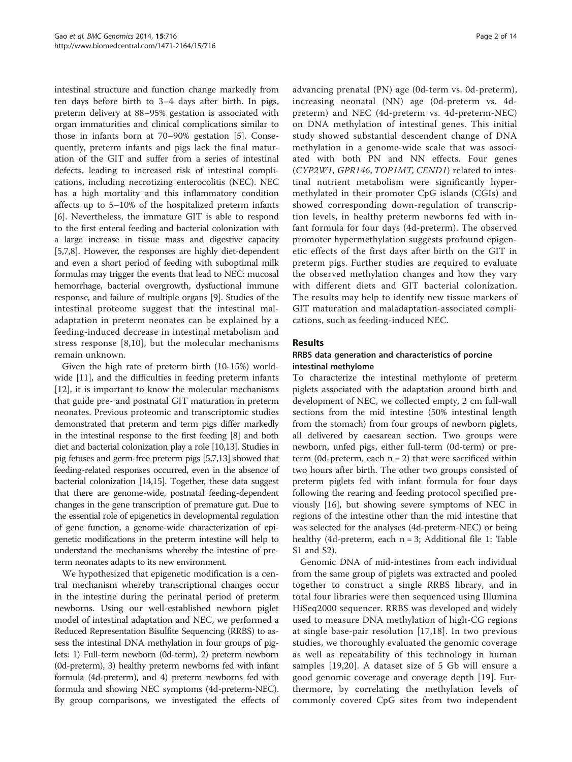intestinal structure and function change markedly from ten days before birth to 3–4 days after birth. In pigs, preterm delivery at 88–95% gestation is associated with organ immaturities and clinical complications similar to those in infants born at 70–90% gestation [[5\]](#page-12-0). Consequently, preterm infants and pigs lack the final maturation of the GIT and suffer from a series of intestinal defects, leading to increased risk of intestinal complications, including necrotizing enterocolitis (NEC). NEC has a high mortality and this inflammatory condition affects up to 5–10% of the hospitalized preterm infants [[6\]](#page-12-0). Nevertheless, the immature GIT is able to respond to the first enteral feeding and bacterial colonization with a large increase in tissue mass and digestive capacity [[5,7,8](#page-12-0)]. However, the responses are highly diet-dependent and even a short period of feeding with suboptimal milk formulas may trigger the events that lead to NEC: mucosal hemorrhage, bacterial overgrowth, dysfuctional immune response, and failure of multiple organs [\[9\]](#page-12-0). Studies of the intestinal proteome suggest that the intestinal maladaptation in preterm neonates can be explained by a feeding-induced decrease in intestinal metabolism and stress response [[8](#page-12-0),[10\]](#page-12-0), but the molecular mechanisms remain unknown.

Given the high rate of preterm birth (10-15%) worldwide [\[11](#page-12-0)], and the difficulties in feeding preterm infants [[12\]](#page-12-0), it is important to know the molecular mechanisms that guide pre- and postnatal GIT maturation in preterm neonates. Previous proteomic and transcriptomic studies demonstrated that preterm and term pigs differ markedly in the intestinal response to the first feeding [[8\]](#page-12-0) and both diet and bacterial colonization play a role [\[10,13](#page-12-0)]. Studies in pig fetuses and germ-free preterm pigs [\[5,7,13\]](#page-12-0) showed that feeding-related responses occurred, even in the absence of bacterial colonization [[14,15\]](#page-12-0). Together, these data suggest that there are genome-wide, postnatal feeding-dependent changes in the gene transcription of premature gut. Due to the essential role of epigenetics in developmental regulation of gene function, a genome-wide characterization of epigenetic modifications in the preterm intestine will help to understand the mechanisms whereby the intestine of preterm neonates adapts to its new environment.

We hypothesized that epigenetic modification is a central mechanism whereby transcriptional changes occur in the intestine during the perinatal period of preterm newborns. Using our well-established newborn piglet model of intestinal adaptation and NEC, we performed a Reduced Representation Bisulfite Sequencing (RRBS) to assess the intestinal DNA methylation in four groups of piglets: 1) Full-term newborn (0d-term), 2) preterm newborn (0d-preterm), 3) healthy preterm newborns fed with infant formula (4d-preterm), and 4) preterm newborns fed with formula and showing NEC symptoms (4d-preterm-NEC). By group comparisons, we investigated the effects of advancing prenatal (PN) age (0d-term vs. 0d-preterm), increasing neonatal (NN) age (0d-preterm vs. 4dpreterm) and NEC (4d-preterm vs. 4d-preterm-NEC) on DNA methylation of intestinal genes. This initial study showed substantial descendent change of DNA methylation in a genome-wide scale that was associated with both PN and NN effects. Four genes (CYP2W1, GPR146, TOP1MT, CEND1) related to intestinal nutrient metabolism were significantly hypermethylated in their promoter CpG islands (CGIs) and showed corresponding down-regulation of transcription levels, in healthy preterm newborns fed with infant formula for four days (4d-preterm). The observed promoter hypermethylation suggests profound epigenetic effects of the first days after birth on the GIT in preterm pigs. Further studies are required to evaluate the observed methylation changes and how they vary with different diets and GIT bacterial colonization. The results may help to identify new tissue markers of GIT maturation and maladaptation-associated complications, such as feeding-induced NEC.

#### Results

#### RRBS data generation and characteristics of porcine intestinal methylome

To characterize the intestinal methylome of preterm piglets associated with the adaptation around birth and development of NEC, we collected empty, 2 cm full-wall sections from the mid intestine (50% intestinal length from the stomach) from four groups of newborn piglets, all delivered by caesarean section. Two groups were newborn, unfed pigs, either full-term (0d-term) or preterm (0d-preterm, each  $n = 2$ ) that were sacrificed within two hours after birth. The other two groups consisted of preterm piglets fed with infant formula for four days following the rearing and feeding protocol specified previously [[16\]](#page-12-0), but showing severe symptoms of NEC in regions of the intestine other than the mid intestine that was selected for the analyses (4d-preterm-NEC) or being healthy (4d-preterm, each  $n = 3$ ; Additional file [1](#page-12-0): Table S1 and S2).

Genomic DNA of mid-intestines from each individual from the same group of piglets was extracted and pooled together to construct a single RRBS library, and in total four libraries were then sequenced using Illumina HiSeq2000 sequencer. RRBS was developed and widely used to measure DNA methylation of high-CG regions at single base-pair resolution [[17,18\]](#page-12-0). In two previous studies, we thoroughly evaluated the genomic coverage as well as repeatability of this technology in human samples [[19,20\]](#page-13-0). A dataset size of 5 Gb will ensure a good genomic coverage and coverage depth [[19](#page-13-0)]. Furthermore, by correlating the methylation levels of commonly covered CpG sites from two independent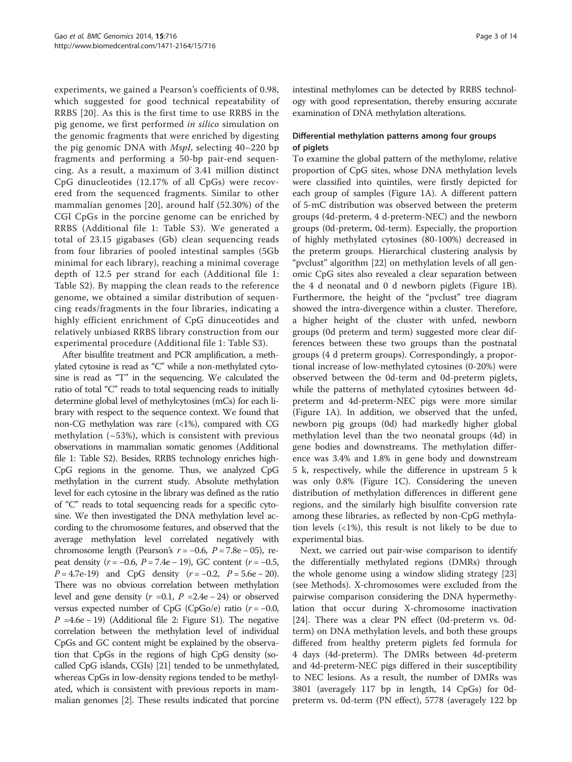experiments, we gained a Pearson's coefficients of 0.98, which suggested for good technical repeatability of RRBS [[20](#page-13-0)]. As this is the first time to use RRBS in the pig genome, we first performed in silico simulation on the genomic fragments that were enriched by digesting the pig genomic DNA with MspI, selecting 40–220 bp fragments and performing a 50-bp pair-end sequencing. As a result, a maximum of 3.41 million distinct CpG dinucleotides (12.17% of all CpGs) were recovered from the sequenced fragments. Similar to other mammalian genomes [[20](#page-13-0)], around half (52.30%) of the CGI CpGs in the porcine genome can be enriched by RRBS (Additional file [1:](#page-12-0) Table S3). We generated a total of 23.15 gigabases (Gb) clean sequencing reads from four libraries of pooled intestinal samples (5Gb minimal for each library), reaching a minimal coverage depth of 12.5 per strand for each (Additional file [1](#page-12-0): Table S2). By mapping the clean reads to the reference genome, we obtained a similar distribution of sequencing reads/fragments in the four libraries, indicating a highly efficient enrichment of CpG dinuceotides and relatively unbiased RRBS library construction from our experimental procedure (Additional file [1](#page-12-0): Table S3).

After bisulfite treatment and PCR amplification, a methylated cytosine is read as "C" while a non-methylated cytosine is read as "T" in the sequencing. We calculated the ratio of total "C" reads to total sequencing reads to initially determine global level of methylcytosines (mCs) for each library with respect to the sequence context. We found that non-CG methylation was rare (<1%), compared with CG methylation  $(-53%)$ , which is consistent with previous observations in mammalian somatic genomes (Additional file [1:](#page-12-0) Table S2). Besides, RRBS technology enriches high-CpG regions in the genome. Thus, we analyzed CpG methylation in the current study. Absolute methylation level for each cytosine in the library was defined as the ratio of "C" reads to total sequencing reads for a specific cytosine. We then investigated the DNA methylation level according to the chromosome features, and observed that the average methylation level correlated negatively with chromosome length (Pearson's  $r = -0.6$ ,  $P = 7.8e - 0.5$ ), repeat density ( $r = -0.6$ ,  $P = 7.4e - 19$ ), GC content ( $r = -0.5$ ,  $P = 4.7e-19$ ) and CpG density  $(r = -0.2, P = 5.6e - 20)$ . There was no obvious correlation between methylation level and gene density ( $r = 0.1$ ,  $P = 2.4e - 24$ ) or observed versus expected number of CpG (CpGo/e) ratio ( $r = -0.0$ ,  $P = 4.6e − 19$  (Additional file [2:](#page-12-0) Figure S1). The negative correlation between the methylation level of individual CpGs and GC content might be explained by the observation that CpGs in the regions of high CpG density (socalled CpG islands, CGIs) [\[21\]](#page-13-0) tended to be unmethylated, whereas CpGs in low-density regions tended to be methylated, which is consistent with previous reports in mammalian genomes [[2](#page-12-0)]. These results indicated that porcine intestinal methylomes can be detected by RRBS technology with good representation, thereby ensuring accurate examination of DNA methylation alterations.

# Differential methylation patterns among four groups of piglets

To examine the global pattern of the methylome, relative proportion of CpG sites, whose DNA methylation levels were classified into quintiles, were firstly depicted for each group of samples (Figure [1A](#page-3-0)). A different pattern of 5-mC distribution was observed between the preterm groups (4d-preterm, 4 d-preterm-NEC) and the newborn groups (0d-preterm, 0d-term). Especially, the proportion of highly methylated cytosines (80-100%) decreased in the preterm groups. Hierarchical clustering analysis by "pvclust" algorithm [[22\]](#page-13-0) on methylation levels of all genomic CpG sites also revealed a clear separation between the 4 d neonatal and 0 d newborn piglets (Figure [1](#page-3-0)B). Furthermore, the height of the "pvclust" tree diagram showed the intra-divergence within a cluster. Therefore, a higher height of the cluster with unfed, newborn groups (0d preterm and term) suggested more clear differences between these two groups than the postnatal groups (4 d preterm groups). Correspondingly, a proportional increase of low-methylated cytosines (0-20%) were observed between the 0d-term and 0d-preterm piglets, while the patterns of methylated cytosines between 4dpreterm and 4d-preterm-NEC pigs were more similar (Figure [1A](#page-3-0)). In addition, we observed that the unfed, newborn pig groups (0d) had markedly higher global methylation level than the two neonatal groups (4d) in gene bodies and downstreams. The methylation difference was 3.4% and 1.8% in gene body and downstream 5 k, respectively, while the difference in upstream 5 k was only 0.8% (Figure [1C](#page-3-0)). Considering the uneven distribution of methylation differences in different gene regions, and the similarly high bisulfite conversion rate among these libraries, as reflected by non-CpG methylation levels (<1%), this result is not likely to be due to experimental bias.

Next, we carried out pair-wise comparison to identify the differentially methylated regions (DMRs) through the whole genome using a window sliding strategy [[23](#page-13-0)] (see [Methods](#page-10-0)). X-chromosomes were excluded from the pairwise comparison considering the DNA hypermethylation that occur during X-chromosome inactivation [[24\]](#page-13-0). There was a clear PN effect (0d-preterm vs. 0dterm) on DNA methylation levels, and both these groups differed from healthy preterm piglets fed formula for 4 days (4d-preterm). The DMRs between 4d-preterm and 4d-preterm-NEC pigs differed in their susceptibility to NEC lesions. As a result, the number of DMRs was 3801 (averagely 117 bp in length, 14 CpGs) for 0dpreterm vs. 0d-term (PN effect), 5778 (averagely 122 bp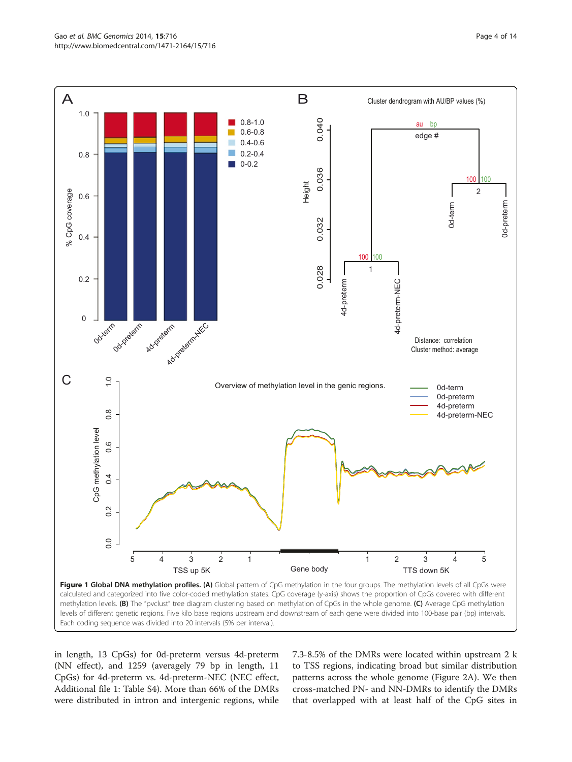<span id="page-3-0"></span>

in length, 13 CpGs) for 0d-preterm versus 4d-preterm (NN effect), and 1259 (averagely 79 bp in length, 11 CpGs) for 4d-preterm vs. 4d-preterm-NEC (NEC effect, Additional file [1](#page-12-0): Table S4). More than 66% of the DMRs were distributed in intron and intergenic regions, while

7.3-8.5% of the DMRs were located within upstream 2 k to TSS regions, indicating broad but similar distribution patterns across the whole genome (Figure [2A](#page-4-0)). We then cross-matched PN- and NN-DMRs to identify the DMRs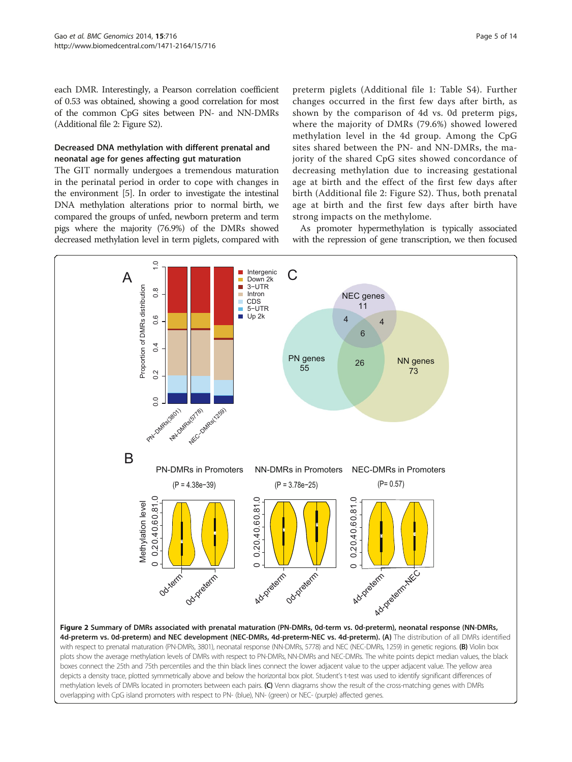<span id="page-4-0"></span>each DMR. Interestingly, a Pearson correlation coefficient of 0.53 was obtained, showing a good correlation for most of the common CpG sites between PN- and NN-DMRs (Additional file [2:](#page-12-0) Figure S2).

#### Decreased DNA methylation with different prenatal and neonatal age for genes affecting gut maturation

The GIT normally undergoes a tremendous maturation in the perinatal period in order to cope with changes in the environment [\[5](#page-12-0)]. In order to investigate the intestinal DNA methylation alterations prior to normal birth, we compared the groups of unfed, newborn preterm and term pigs where the majority (76.9%) of the DMRs showed decreased methylation level in term piglets, compared with

preterm piglets (Additional file [1:](#page-12-0) Table S4). Further changes occurred in the first few days after birth, as shown by the comparison of 4d vs. 0d preterm pigs, where the majority of DMRs (79.6%) showed lowered methylation level in the 4d group. Among the CpG sites shared between the PN- and NN-DMRs, the majority of the shared CpG sites showed concordance of decreasing methylation due to increasing gestational age at birth and the effect of the first few days after birth (Additional file [2:](#page-12-0) Figure S2). Thus, both prenatal age at birth and the first few days after birth have strong impacts on the methylome.

As promoter hypermethylation is typically associated with the repression of gene transcription, we then focused



plots show the average methylation levels of DMRs with respect to PN-DMRs, NN-DMRs and NEC-DMRs. The white points depict median values, the black boxes connect the 25th and 75th percentiles and the thin black lines connect the lower adjacent value to the upper adjacent value. The yellow area depicts a density trace, plotted symmetrically above and below the horizontal box plot. Student's t-test was used to identify significant differences of methylation levels of DMRs located in promoters between each pairs. (C) Venn diagrams show the result of the cross-matching genes with DMRs overlapping with CpG island promoters with respect to PN- (blue), NN- (green) or NEC- (purple) affected genes.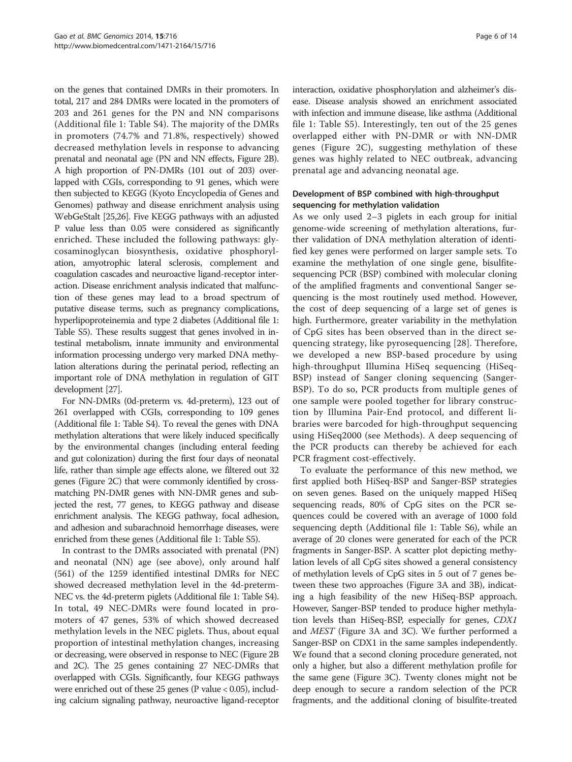on the genes that contained DMRs in their promoters. In total, 217 and 284 DMRs were located in the promoters of 203 and 261 genes for the PN and NN comparisons (Additional file [1:](#page-12-0) Table S4). The majority of the DMRs in promoters (74.7% and 71.8%, respectively) showed decreased methylation levels in response to advancing prenatal and neonatal age (PN and NN effects, Figure [2B](#page-4-0)). A high proportion of PN-DMRs (101 out of 203) overlapped with CGIs, corresponding to 91 genes, which were then subjected to KEGG (Kyoto Encyclopedia of Genes and Genomes) pathway and disease enrichment analysis using WebGeStalt [\[25,26](#page-13-0)]. Five KEGG pathways with an adjusted P value less than 0.05 were considered as significantly enriched. These included the following pathways: glycosaminoglycan biosynthesis, oxidative phosphorylation, amyotrophic lateral sclerosis, complement and coagulation cascades and neuroactive ligand-receptor interaction. Disease enrichment analysis indicated that malfunction of these genes may lead to a broad spectrum of putative disease terms, such as pregnancy complications, hyperlipoproteinemia and type 2 diabetes (Additional file [1](#page-12-0): Table S5). These results suggest that genes involved in intestinal metabolism, innate immunity and environmental information processing undergo very marked DNA methylation alterations during the perinatal period, reflecting an important role of DNA methylation in regulation of GIT development [\[27](#page-13-0)].

For NN-DMRs (0d-preterm vs. 4d-preterm), 123 out of 261 overlapped with CGIs, corresponding to 109 genes (Additional file [1](#page-12-0): Table S4). To reveal the genes with DNA methylation alterations that were likely induced specifically by the environmental changes (including enteral feeding and gut colonization) during the first four days of neonatal life, rather than simple age effects alone, we filtered out 32 genes (Figure [2](#page-4-0)C) that were commonly identified by crossmatching PN-DMR genes with NN-DMR genes and subjected the rest, 77 genes, to KEGG pathway and disease enrichment analysis. The KEGG pathway, focal adhesion, and adhesion and subarachnoid hemorrhage diseases, were enriched from these genes (Additional file [1:](#page-12-0) Table S5).

In contrast to the DMRs associated with prenatal (PN) and neonatal (NN) age (see above), only around half (561) of the 1259 identified intestinal DMRs for NEC showed decreased methylation level in the 4d-preterm-NEC vs. the 4d-preterm piglets (Additional file [1](#page-12-0): Table S4). In total, 49 NEC-DMRs were found located in promoters of 47 genes, 53% of which showed decreased methylation levels in the NEC piglets. Thus, about equal proportion of intestinal methylation changes, increasing or decreasing, were observed in response to NEC (Figure [2B](#page-4-0) and [2](#page-4-0)C). The 25 genes containing 27 NEC-DMRs that overlapped with CGIs. Significantly, four KEGG pathways were enriched out of these 25 genes (P value < 0.05), including calcium signaling pathway, neuroactive ligand-receptor interaction, oxidative phosphorylation and alzheimer's disease. Disease analysis showed an enrichment associated with infection and immune disease, like asthma (Additional file [1](#page-12-0): Table S5). Interestingly, ten out of the 25 genes overlapped either with PN-DMR or with NN-DMR genes (Figure [2C](#page-4-0)), suggesting methylation of these genes was highly related to NEC outbreak, advancing prenatal age and advancing neonatal age.

# Development of BSP combined with high-throughput sequencing for methylation validation

As we only used 2–3 piglets in each group for initial genome-wide screening of methylation alterations, further validation of DNA methylation alteration of identified key genes were performed on larger sample sets. To examine the methylation of one single gene, bisulfitesequencing PCR (BSP) combined with molecular cloning of the amplified fragments and conventional Sanger sequencing is the most routinely used method. However, the cost of deep sequencing of a large set of genes is high. Furthermore, greater variability in the methylation of CpG sites has been observed than in the direct sequencing strategy, like pyrosequencing [[28\]](#page-13-0). Therefore, we developed a new BSP-based procedure by using high-throughput Illumina HiSeq sequencing (HiSeq-BSP) instead of Sanger cloning sequencing (Sanger-BSP). To do so, PCR products from multiple genes of one sample were pooled together for library construction by Illumina Pair-End protocol, and different libraries were barcoded for high-throughput sequencing using HiSeq2000 (see [Methods](#page-10-0)). A deep sequencing of the PCR products can thereby be achieved for each PCR fragment cost-effectively.

To evaluate the performance of this new method, we first applied both HiSeq-BSP and Sanger-BSP strategies on seven genes. Based on the uniquely mapped HiSeq sequencing reads, 80% of CpG sites on the PCR sequences could be covered with an average of 1000 fold sequencing depth (Additional file [1](#page-12-0): Table S6), while an average of 20 clones were generated for each of the PCR fragments in Sanger-BSP. A scatter plot depicting methylation levels of all CpG sites showed a general consistency of methylation levels of CpG sites in 5 out of 7 genes between these two approaches (Figure [3](#page-6-0)A and [3B](#page-6-0)), indicating a high feasibility of the new HiSeq-BSP approach. However, Sanger-BSP tended to produce higher methylation levels than HiSeq-BSP, especially for genes, CDX1 and MEST (Figure [3](#page-6-0)A and [3](#page-6-0)C). We further performed a Sanger-BSP on CDX1 in the same samples independently. We found that a second cloning procedure generated, not only a higher, but also a different methylation profile for the same gene (Figure [3](#page-6-0)C). Twenty clones might not be deep enough to secure a random selection of the PCR fragments, and the additional cloning of bisulfite-treated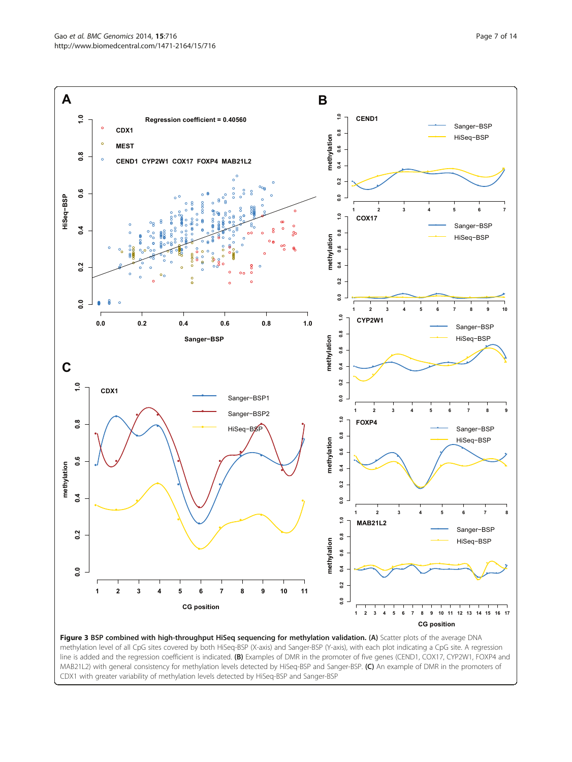<span id="page-6-0"></span>

methylation level of all CpG sites covered by both HiSeq-BSP (X-axis) and Sanger-BSP (Y-axis), with each plot indicating a CpG site. A regression line is added and the regression coefficient is indicated. (B) Examples of DMR in the promoter of five genes (CEND1, COX17, CYP2W1, FOXP4 and MAB21L2) with general consistency for methylation levels detected by HiSeq-BSP and Sanger-BSP. (C) An example of DMR in the promoters of CDX1 with greater variability of methylation levels detected by HiSeq-BSP and Sanger-BSP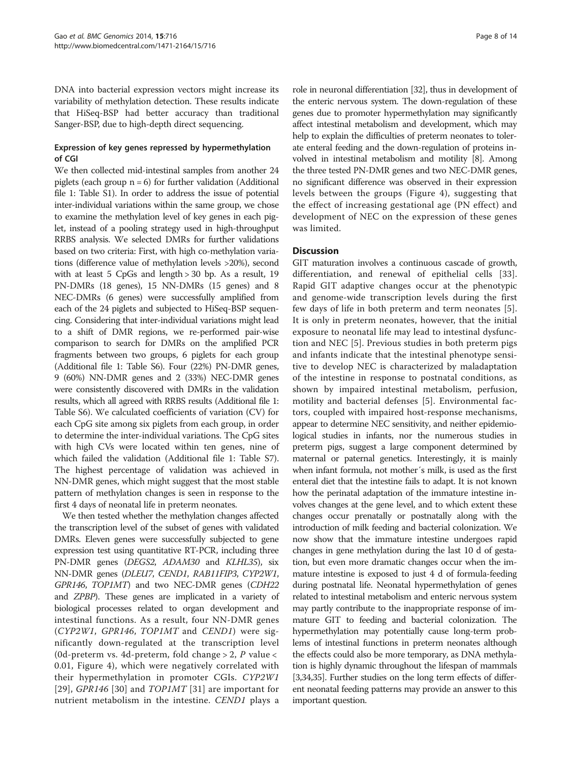DNA into bacterial expression vectors might increase its variability of methylation detection. These results indicate that HiSeq-BSP had better accuracy than traditional Sanger-BSP, due to high-depth direct sequencing.

## Expression of key genes repressed by hypermethylation of CGI

We then collected mid-intestinal samples from another 24 piglets (each group  $n = 6$ ) for further validation (Additional file [1:](#page-12-0) Table S1). In order to address the issue of potential inter-individual variations within the same group, we chose to examine the methylation level of key genes in each piglet, instead of a pooling strategy used in high-throughput RRBS analysis. We selected DMRs for further validations based on two criteria: First, with high co-methylation variations (difference value of methylation levels >20%), second with at least 5 CpGs and length > 30 bp. As a result, 19 PN-DMRs (18 genes), 15 NN-DMRs (15 genes) and 8 NEC-DMRs (6 genes) were successfully amplified from each of the 24 piglets and subjected to HiSeq-BSP sequencing. Considering that inter-individual variations might lead to a shift of DMR regions, we re-performed pair-wise comparison to search for DMRs on the amplified PCR fragments between two groups, 6 piglets for each group (Additional file [1:](#page-12-0) Table S6). Four (22%) PN-DMR genes, 9 (60%) NN-DMR genes and 2 (33%) NEC-DMR genes were consistently discovered with DMRs in the validation results, which all agreed with RRBS results (Additional file [1](#page-12-0): Table S6). We calculated coefficients of variation (CV) for each CpG site among six piglets from each group, in order to determine the inter-individual variations. The CpG sites with high CVs were located within ten genes, nine of which failed the validation (Additional file [1](#page-12-0): Table S7). The highest percentage of validation was achieved in NN-DMR genes, which might suggest that the most stable pattern of methylation changes is seen in response to the first 4 days of neonatal life in preterm neonates.

We then tested whether the methylation changes affected the transcription level of the subset of genes with validated DMRs. Eleven genes were successfully subjected to gene expression test using quantitative RT-PCR, including three PN-DMR genes (DEGS2, ADAM30 and KLHL35), six NN-DMR genes (DLEU7, CEND1, RAB11FIP3, CYP2W1, GPR146, TOP1MT) and two NEC-DMR genes (CDH22 and ZPBP). These genes are implicated in a variety of biological processes related to organ development and intestinal functions. As a result, four NN-DMR genes (CYP2W1, GPR146, TOP1MT and CEND1) were significantly down-regulated at the transcription level (0d-preterm vs. 4d-preterm, fold change  $> 2$ , P value  $<$ 0.01, Figure [4](#page-8-0)), which were negatively correlated with their hypermethylation in promoter CGIs. CYP2W1 [[29](#page-13-0)],  $GPR146$  [\[30\]](#page-13-0) and  $TOP1MT$  [[31\]](#page-13-0) are important for nutrient metabolism in the intestine. CEND1 plays a

role in neuronal differentiation [[32](#page-13-0)], thus in development of the enteric nervous system. The down-regulation of these genes due to promoter hypermethylation may significantly affect intestinal metabolism and development, which may help to explain the difficulties of preterm neonates to tolerate enteral feeding and the down-regulation of proteins involved in intestinal metabolism and motility [[8](#page-12-0)]. Among the three tested PN-DMR genes and two NEC-DMR genes, no significant difference was observed in their expression levels between the groups (Figure [4\)](#page-8-0), suggesting that the effect of increasing gestational age (PN effect) and development of NEC on the expression of these genes was limited.

## **Discussion**

GIT maturation involves a continuous cascade of growth, differentiation, and renewal of epithelial cells [\[33](#page-13-0)]. Rapid GIT adaptive changes occur at the phenotypic and genome-wide transcription levels during the first few days of life in both preterm and term neonates [\[5](#page-12-0)]. It is only in preterm neonates, however, that the initial exposure to neonatal life may lead to intestinal dysfunction and NEC [[5\]](#page-12-0). Previous studies in both preterm pigs and infants indicate that the intestinal phenotype sensitive to develop NEC is characterized by maladaptation of the intestine in response to postnatal conditions, as shown by impaired intestinal metabolism, perfusion, motility and bacterial defenses [[5\]](#page-12-0). Environmental factors, coupled with impaired host-response mechanisms, appear to determine NEC sensitivity, and neither epidemiological studies in infants, nor the numerous studies in preterm pigs, suggest a large component determined by maternal or paternal genetics. Interestingly, it is mainly when infant formula, not mother´s milk, is used as the first enteral diet that the intestine fails to adapt. It is not known how the perinatal adaptation of the immature intestine involves changes at the gene level, and to which extent these changes occur prenatally or postnatally along with the introduction of milk feeding and bacterial colonization. We now show that the immature intestine undergoes rapid changes in gene methylation during the last 10 d of gestation, but even more dramatic changes occur when the immature intestine is exposed to just 4 d of formula-feeding during postnatal life. Neonatal hypermethylation of genes related to intestinal metabolism and enteric nervous system may partly contribute to the inappropriate response of immature GIT to feeding and bacterial colonization. The hypermethylation may potentially cause long-term problems of intestinal functions in preterm neonates although the effects could also be more temporary, as DNA methylation is highly dynamic throughout the lifespan of mammals [[3](#page-12-0)[,34,35](#page-13-0)]. Further studies on the long term effects of different neonatal feeding patterns may provide an answer to this important question.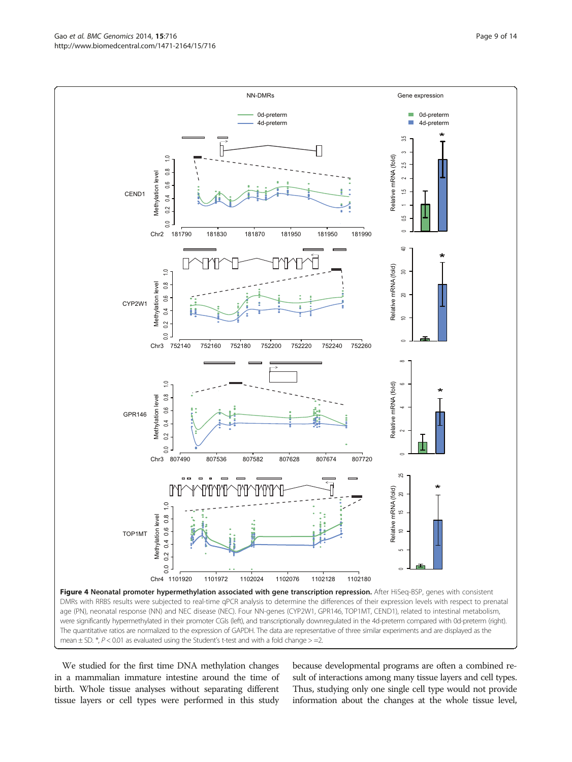<span id="page-8-0"></span>

mean  $\pm$  SD,  $^{*}$ ,  $P$  < 0.01 as evaluated using the Student's t-test and with a fold change > =2.

We studied for the first time DNA methylation changes in a mammalian immature intestine around the time of birth. Whole tissue analyses without separating different tissue layers or cell types were performed in this study because developmental programs are often a combined result of interactions among many tissue layers and cell types. Thus, studying only one single cell type would not provide information about the changes at the whole tissue level,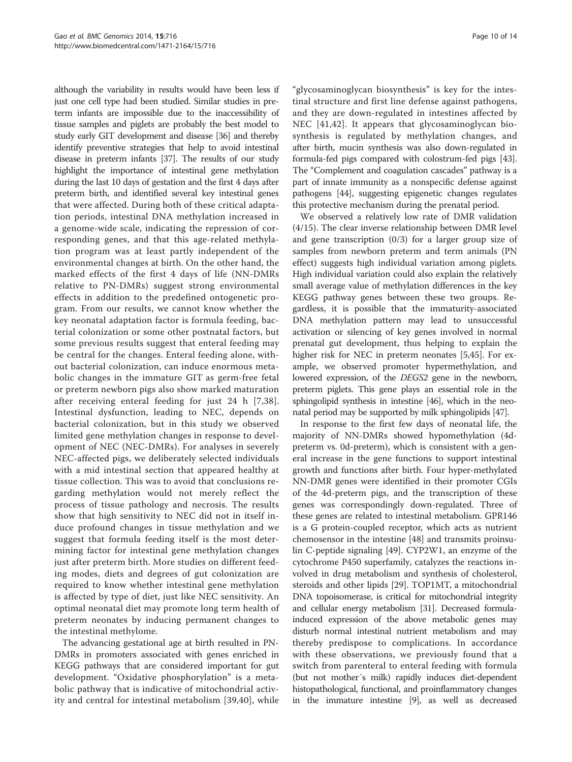although the variability in results would have been less if just one cell type had been studied. Similar studies in preterm infants are impossible due to the inaccessibility of tissue samples and piglets are probably the best model to study early GIT development and disease [[36](#page-13-0)] and thereby identify preventive strategies that help to avoid intestinal disease in preterm infants [\[37\]](#page-13-0). The results of our study highlight the importance of intestinal gene methylation during the last 10 days of gestation and the first 4 days after preterm birth, and identified several key intestinal genes that were affected. During both of these critical adaptation periods, intestinal DNA methylation increased in a genome-wide scale, indicating the repression of corresponding genes, and that this age-related methylation program was at least partly independent of the environmental changes at birth. On the other hand, the marked effects of the first 4 days of life (NN-DMRs relative to PN-DMRs) suggest strong environmental effects in addition to the predefined ontogenetic program. From our results, we cannot know whether the key neonatal adaptation factor is formula feeding, bacterial colonization or some other postnatal factors, but some previous results suggest that enteral feeding may be central for the changes. Enteral feeding alone, without bacterial colonization, can induce enormous metabolic changes in the immature GIT as germ-free fetal or preterm newborn pigs also show marked maturation after receiving enteral feeding for just 24 h [\[7,](#page-12-0)[38](#page-13-0)]. Intestinal dysfunction, leading to NEC, depends on bacterial colonization, but in this study we observed limited gene methylation changes in response to development of NEC (NEC-DMRs). For analyses in severely NEC-affected pigs, we deliberately selected individuals with a mid intestinal section that appeared healthy at tissue collection. This was to avoid that conclusions regarding methylation would not merely reflect the process of tissue pathology and necrosis. The results show that high sensitivity to NEC did not in itself induce profound changes in tissue methylation and we suggest that formula feeding itself is the most determining factor for intestinal gene methylation changes just after preterm birth. More studies on different feeding modes, diets and degrees of gut colonization are required to know whether intestinal gene methylation is affected by type of diet, just like NEC sensitivity. An optimal neonatal diet may promote long term health of preterm neonates by inducing permanent changes to the intestinal methylome.

The advancing gestational age at birth resulted in PN-DMRs in promoters associated with genes enriched in KEGG pathways that are considered important for gut development. "Oxidative phosphorylation" is a metabolic pathway that is indicative of mitochondrial activity and central for intestinal metabolism [\[39,40](#page-13-0)], while

"glycosaminoglycan biosynthesis" is key for the intestinal structure and first line defense against pathogens, and they are down-regulated in intestines affected by NEC [[41](#page-13-0),[42\]](#page-13-0). It appears that glycosaminoglycan biosynthesis is regulated by methylation changes, and after birth, mucin synthesis was also down-regulated in formula-fed pigs compared with colostrum-fed pigs [[43](#page-13-0)]. The "Complement and coagulation cascades" pathway is a part of innate immunity as a nonspecific defense against pathogens [[44](#page-13-0)], suggesting epigenetic changes regulates this protective mechanism during the prenatal period.

We observed a relatively low rate of DMR validation (4/15). The clear inverse relationship between DMR level and gene transcription (0/3) for a larger group size of samples from newborn preterm and term animals (PN effect) suggests high individual variation among piglets. High individual variation could also explain the relatively small average value of methylation differences in the key KEGG pathway genes between these two groups. Regardless, it is possible that the immaturity-associated DNA methylation pattern may lead to unsuccessful activation or silencing of key genes involved in normal prenatal gut development, thus helping to explain the higher risk for NEC in preterm neonates [\[5](#page-12-0)[,45](#page-13-0)]. For example, we observed promoter hypermethylation, and lowered expression, of the DEGS2 gene in the newborn, preterm piglets. This gene plays an essential role in the sphingolipid synthesis in intestine [\[46](#page-13-0)], which in the neonatal period may be supported by milk sphingolipids [\[47](#page-13-0)].

In response to the first few days of neonatal life, the majority of NN-DMRs showed hypomethylation (4dpreterm vs. 0d-preterm), which is consistent with a general increase in the gene functions to support intestinal growth and functions after birth. Four hyper-methylated NN-DMR genes were identified in their promoter CGIs of the 4d-preterm pigs, and the transcription of these genes was correspondingly down-regulated. Three of these genes are related to intestinal metabolism. GPR146 is a G protein-coupled receptor, which acts as nutrient chemosensor in the intestine [[48\]](#page-13-0) and transmits proinsulin C-peptide signaling [[49\]](#page-13-0). CYP2W1, an enzyme of the cytochrome P450 superfamily, catalyzes the reactions involved in drug metabolism and synthesis of cholesterol, steroids and other lipids [[29](#page-13-0)]. TOP1MT, a mitochondrial DNA topoisomerase, is critical for mitochondrial integrity and cellular energy metabolism [\[31\]](#page-13-0). Decreased formulainduced expression of the above metabolic genes may disturb normal intestinal nutrient metabolism and may thereby predispose to complications. In accordance with these observations, we previously found that a switch from parenteral to enteral feeding with formula (but not mother´s milk) rapidly induces diet-dependent histopathological, functional, and proinflammatory changes in the immature intestine [\[9\]](#page-12-0), as well as decreased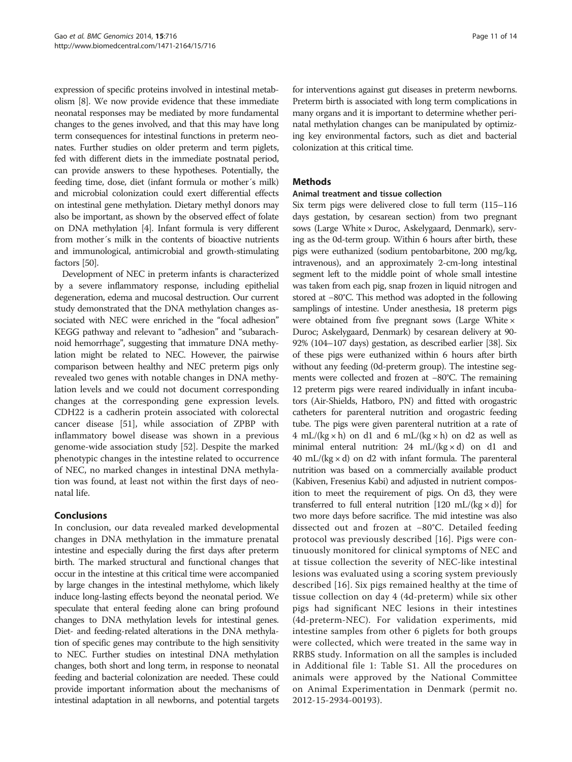<span id="page-10-0"></span>expression of specific proteins involved in intestinal metabolism [[8](#page-12-0)]. We now provide evidence that these immediate neonatal responses may be mediated by more fundamental changes to the genes involved, and that this may have long term consequences for intestinal functions in preterm neonates. Further studies on older preterm and term piglets, fed with different diets in the immediate postnatal period, can provide answers to these hypotheses. Potentially, the feeding time, dose, diet (infant formula or mother´s milk) and microbial colonization could exert differential effects on intestinal gene methylation. Dietary methyl donors may also be important, as shown by the observed effect of folate on DNA methylation [\[4\]](#page-12-0). Infant formula is very different from mother´s milk in the contents of bioactive nutrients and immunological, antimicrobial and growth-stimulating factors [\[50\]](#page-13-0).

Development of NEC in preterm infants is characterized by a severe inflammatory response, including epithelial degeneration, edema and mucosal destruction. Our current study demonstrated that the DNA methylation changes associated with NEC were enriched in the "focal adhesion" KEGG pathway and relevant to "adhesion" and "subarachnoid hemorrhage", suggesting that immature DNA methylation might be related to NEC. However, the pairwise comparison between healthy and NEC preterm pigs only revealed two genes with notable changes in DNA methylation levels and we could not document corresponding changes at the corresponding gene expression levels. CDH22 is a cadherin protein associated with colorectal cancer disease [[51\]](#page-13-0), while association of ZPBP with inflammatory bowel disease was shown in a previous genome-wide association study [\[52\]](#page-13-0). Despite the marked phenotypic changes in the intestine related to occurrence of NEC, no marked changes in intestinal DNA methylation was found, at least not within the first days of neonatal life.

# Conclusions

In conclusion, our data revealed marked developmental changes in DNA methylation in the immature prenatal intestine and especially during the first days after preterm birth. The marked structural and functional changes that occur in the intestine at this critical time were accompanied by large changes in the intestinal methylome, which likely induce long-lasting effects beyond the neonatal period. We speculate that enteral feeding alone can bring profound changes to DNA methylation levels for intestinal genes. Diet- and feeding-related alterations in the DNA methylation of specific genes may contribute to the high sensitivity to NEC. Further studies on intestinal DNA methylation changes, both short and long term, in response to neonatal feeding and bacterial colonization are needed. These could provide important information about the mechanisms of intestinal adaptation in all newborns, and potential targets

for interventions against gut diseases in preterm newborns. Preterm birth is associated with long term complications in many organs and it is important to determine whether perinatal methylation changes can be manipulated by optimizing key environmental factors, such as diet and bacterial colonization at this critical time.

# **Methods**

## Animal treatment and tissue collection

Six term pigs were delivered close to full term (115–116 days gestation, by cesarean section) from two pregnant sows (Large White × Duroc, Askelygaard, Denmark), serving as the 0d-term group. Within 6 hours after birth, these pigs were euthanized (sodium pentobarbitone, 200 mg/kg, intravenous), and an approximately 2-cm-long intestinal segment left to the middle point of whole small intestine was taken from each pig, snap frozen in liquid nitrogen and stored at −80°C. This method was adopted in the following samplings of intestine. Under anesthesia, 18 preterm pigs were obtained from five pregnant sows (Large White  $\times$ Duroc; Askelygaard, Denmark) by cesarean delivery at 90- 92% (104–107 days) gestation, as described earlier [\[38\]](#page-13-0). Six of these pigs were euthanized within 6 hours after birth without any feeding (0d-preterm group). The intestine segments were collected and frozen at −80°C. The remaining 12 preterm pigs were reared individually in infant incubators (Air-Shields, Hatboro, PN) and fitted with orogastric catheters for parenteral nutrition and orogastric feeding tube. The pigs were given parenteral nutrition at a rate of 4 mL/(kg  $\times$  h) on d1 and 6 mL/(kg  $\times$  h) on d2 as well as minimal enteral nutrition: 24 mL/( $kg \times d$ ) on d1 and 40 mL/( $kg \times d$ ) on d2 with infant formula. The parenteral nutrition was based on a commercially available product (Kabiven, Fresenius Kabi) and adjusted in nutrient composition to meet the requirement of pigs. On d3, they were transferred to full enteral nutrition  $[120 \text{ mL/(kg} \times d)]$  for two more days before sacrifice. The mid intestine was also dissected out and frozen at −80°C. Detailed feeding protocol was previously described [\[16\]](#page-12-0). Pigs were continuously monitored for clinical symptoms of NEC and at tissue collection the severity of NEC-like intestinal lesions was evaluated using a scoring system previously described [\[16\]](#page-12-0). Six pigs remained healthy at the time of tissue collection on day 4 (4d-preterm) while six other pigs had significant NEC lesions in their intestines (4d-preterm-NEC). For validation experiments, mid intestine samples from other 6 piglets for both groups were collected, which were treated in the same way in RRBS study. Information on all the samples is included in Additional file [1:](#page-12-0) Table S1. All the procedures on animals were approved by the National Committee on Animal Experimentation in Denmark (permit no. 2012-15-2934-00193).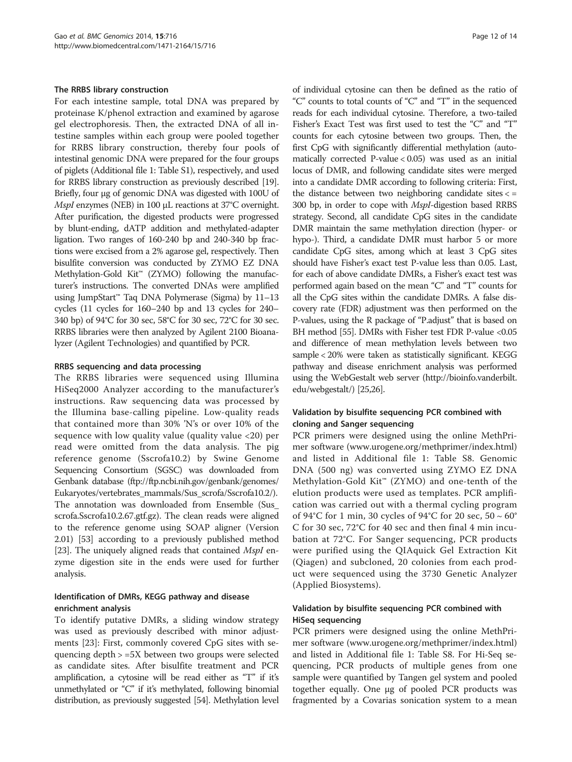#### The RRBS library construction

For each intestine sample, total DNA was prepared by proteinase K/phenol extraction and examined by agarose gel electrophoresis. Then, the extracted DNA of all intestine samples within each group were pooled together for RRBS library construction, thereby four pools of intestinal genomic DNA were prepared for the four groups of piglets (Additional file [1](#page-12-0): Table S1), respectively, and used for RRBS library construction as previously described [\[19](#page-13-0)]. Briefly, four μg of genomic DNA was digested with 100U of MspI enzymes (NEB) in 100 μL reactions at 37°C overnight. After purification, the digested products were progressed by blunt-ending, dATP addition and methylated-adapter ligation. Two ranges of 160-240 bp and 240-340 bp fractions were excised from a 2% agarose gel, respectively. Then bisulfite conversion was conducted by ZYMO EZ DNA Methylation-Gold Kit™ (ZYMO) following the manufacturer's instructions. The converted DNAs were amplified using JumpStart™ Taq DNA Polymerase (Sigma) by 11–13 cycles (11 cycles for 160–240 bp and 13 cycles for 240– 340 bp) of 94°C for 30 sec, 58°C for 30 sec, 72°C for 30 sec. RRBS libraries were then analyzed by Agilent 2100 Bioanalyzer (Agilent Technologies) and quantified by PCR.

#### RRBS sequencing and data processing

The RRBS libraries were sequenced using Illumina HiSeq2000 Analyzer according to the manufacturer's instructions. Raw sequencing data was processed by the Illumina base-calling pipeline. Low-quality reads that contained more than 30% 'N's or over 10% of the sequence with low quality value (quality value <20) per read were omitted from the data analysis. The pig reference genome (Sscrofa10.2) by Swine Genome Sequencing Consortium (SGSC) was downloaded from Genbank database ([ftp://ftp.ncbi.nih.gov/genbank/genomes/](ftp://ftp.ncbi.nih.gov/genbank/genomes/Eukaryotes/vertebrates_mammals/Sus_scrofa/Sscrofa10.2/) [Eukaryotes/vertebrates\\_mammals/Sus\\_scrofa/Sscrofa10.2/](ftp://ftp.ncbi.nih.gov/genbank/genomes/Eukaryotes/vertebrates_mammals/Sus_scrofa/Sscrofa10.2/)). The annotation was downloaded from Ensemble (Sus\_ scrofa.Sscrofa10.2.67.gtf.gz). The clean reads were aligned to the reference genome using SOAP aligner (Version 2.01) [[53](#page-13-0)] according to a previously published method [[23](#page-13-0)]. The uniquely aligned reads that contained *MspI* enzyme digestion site in the ends were used for further analysis.

#### Identification of DMRs, KEGG pathway and disease enrichment analysis

To identify putative DMRs, a sliding window strategy was used as previously described with minor adjustments [\[23](#page-13-0)]: First, commonly covered CpG sites with sequencing depth > =5X between two groups were selected as candidate sites. After bisulfite treatment and PCR amplification, a cytosine will be read either as "T" if it's unmethylated or "C" if it's methylated, following binomial distribution, as previously suggested [[54](#page-13-0)]. Methylation level

of individual cytosine can then be defined as the ratio of "C" counts to total counts of "C" and "T" in the sequenced reads for each individual cytosine. Therefore, a two-tailed Fisher's Exact Test was first used to test the "C" and "T" counts for each cytosine between two groups. Then, the first CpG with significantly differential methylation (automatically corrected P-value < 0.05) was used as an initial locus of DMR, and following candidate sites were merged into a candidate DMR according to following criteria: First, the distance between two neighboring candidate sites < = 300 bp, in order to cope with MspI-digestion based RRBS strategy. Second, all candidate CpG sites in the candidate DMR maintain the same methylation direction (hyper- or hypo-). Third, a candidate DMR must harbor 5 or more candidate CpG sites, among which at least 3 CpG sites should have Fisher's exact test P-value less than 0.05. Last, for each of above candidate DMRs, a Fisher's exact test was performed again based on the mean "C" and "T" counts for all the CpG sites within the candidate DMRs. A false discovery rate (FDR) adjustment was then performed on the P-values, using the R package of "P.adjust" that is based on BH method [[55\]](#page-13-0). DMRs with Fisher test FDR P-value <0.05 and difference of mean methylation levels between two sample < 20% were taken as statistically significant. KEGG pathway and disease enrichment analysis was performed using the WebGestalt web server [\(http://bioinfo.vanderbilt.](http://bioinfo.vanderbilt.edu/webgestalt/) [edu/webgestalt/\)](http://bioinfo.vanderbilt.edu/webgestalt/) [\[25,26\]](#page-13-0).

#### Validation by bisulfite sequencing PCR combined with cloning and Sanger sequencing

PCR primers were designed using the online MethPrimer software [\(www.urogene.org/methprimer/index.html](http://www.urogene.org/methprimer/index.html)) and listed in Additional file [1](#page-12-0): Table S8. Genomic DNA (500 ng) was converted using ZYMO EZ DNA Methylation-Gold Kit™ (ZYMO) and one-tenth of the elution products were used as templates. PCR amplification was carried out with a thermal cycling program of 94°C for 1 min, 30 cycles of 94°C for 20 sec,  $50 \sim 60^\circ$ C for 30 sec, 72°C for 40 sec and then final 4 min incubation at 72°C. For Sanger sequencing, PCR products were purified using the QIAquick Gel Extraction Kit (Qiagen) and subcloned, 20 colonies from each product were sequenced using the 3730 Genetic Analyzer (Applied Biosystems).

## Validation by bisulfite sequencing PCR combined with HiSeq sequencing

PCR primers were designed using the online MethPrimer software [\(www.urogene.org/methprimer/index.html](http://www.urogene.org/methprimer/index.html)) and listed in Additional file [1](#page-12-0): Table S8. For Hi-Seq sequencing, PCR products of multiple genes from one sample were quantified by Tangen gel system and pooled together equally. One μg of pooled PCR products was fragmented by a Covarias sonication system to a mean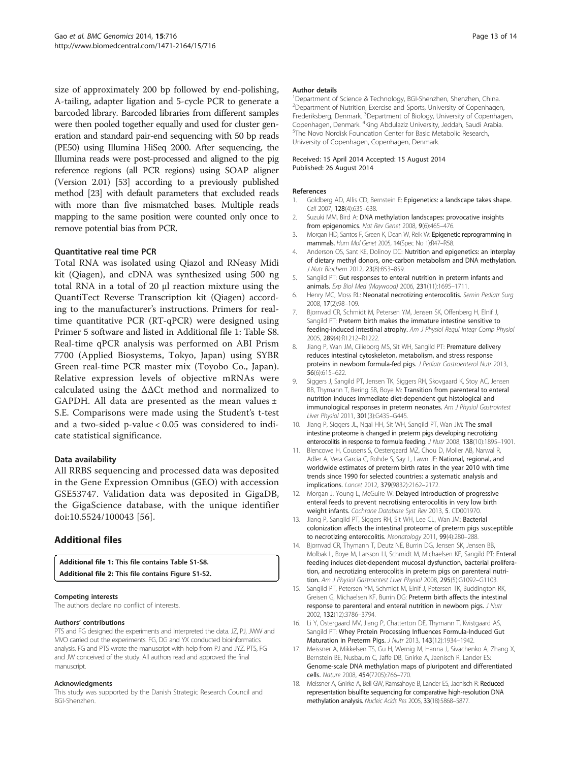<span id="page-12-0"></span>size of approximately 200 bp followed by end-polishing, A-tailing, adapter ligation and 5-cycle PCR to generate a barcoded library. Barcoded libraries from different samples were then pooled together equally and used for cluster generation and standard pair-end sequencing with 50 bp reads (PE50) using Illumina HiSeq 2000. After sequencing, the Illumina reads were post-processed and aligned to the pig reference regions (all PCR regions) using SOAP aligner (Version 2.01) [\[53\]](#page-13-0) according to a previously published method [\[23\]](#page-13-0) with default parameters that excluded reads with more than five mismatched bases. Multiple reads mapping to the same position were counted only once to remove potential bias from PCR.

#### Quantitative real time PCR

Total RNA was isolated using Qiazol and RNeasy Midi kit (Qiagen), and cDNA was synthesized using 500 ng total RNA in a total of 20 μl reaction mixture using the QuantiTect Reverse Transcription kit (Qiagen) according to the manufacturer's instructions. Primers for realtime quantitative PCR (RT-qPCR) were designed using Primer 5 software and listed in Additional file 1: Table S8. Real-time qPCR analysis was performed on ABI Prism 7700 (Applied Biosystems, Tokyo, Japan) using SYBR Green real-time PCR master mix (Toyobo Co., Japan). Relative expression levels of objective mRNAs were calculated using the ΔΔCt method and normalized to GAPDH. All data are presented as the mean values  $\pm$ S.E. Comparisons were made using the Student's t-test and a two-sided p-value < 0.05 was considered to indicate statistical significance.

#### Data availability

All RRBS sequencing and processed data was deposited in the Gene Expression Omnibus (GEO) with accession GSE53747. Validation data was deposited in GigaDB, the GigaScience database, with the unique identifier doi:10.5524/100043 [[56\]](#page-13-0).

#### Additional files

[Additional file 1:](http://www.biomedcentral.com/content/supplementary/1471-2164-15-716-S1.xlsx) This file contains Table S1-S8. [Additional file 2:](http://www.biomedcentral.com/content/supplementary/1471-2164-15-716-S2.doc) This file contains Figure S1-S2.

#### Competing interests

The authors declare no conflict of interests.

#### Authors' contributions

PTS and FG designed the experiments and interpreted the data. JZ, PJ, JWW and MVO carried out the experiments. FG, DG and YX conducted bioinformatics analysis. FG and PTS wrote the manuscript with help from PJ and JYZ. PTS, FG and JW conceived of the study. All authors read and approved the final manuscript.

#### Acknowledgments

This study was supported by the Danish Strategic Research Council and BGI-Shenzhen.

#### Author details

<sup>1</sup>Department of Science & Technology, BGI-Shenzhen, Shenzhen, China <sup>2</sup>Department of Nutrition, Exercise and Sports, University of Copenhagen, Frederiksberg, Denmark. <sup>3</sup>Department of Biology, University of Copenhagen, Copenhagen, Denmark. <sup>4</sup>King Abdulaziz University, Jeddah, Saudi Arabia.<br><sup>5</sup>The Novo Nordisk Foundation Center for Basic Metabolic Besearch. <sup>5</sup>The Novo Nordisk Foundation Center for Basic Metabolic Research, University of Copenhagen, Copenhagen, Denmark.

#### Received: 15 April 2014 Accepted: 15 August 2014 Published: 26 August 2014

#### References

- 1. Goldberg AD, Allis CD, Bernstein E: Epigenetics: a landscape takes shape. Cell 2007, 128(4):635–638.
- 2. Suzuki MM, Bird A: DNA methylation landscapes: provocative insights from epigenomics. Nat Rev Genet 2008, 9(6):465–476.
- 3. Morgan HD, Santos F, Green K, Dean W, Reik W; Epigenetic reprogramming in mammals. Hum Mol Genet 2005, 14(Spec No 1):R47–R58.
- 4. Anderson OS, Sant KE, Dolinoy DC: Nutrition and epigenetics: an interplay of dietary methyl donors, one-carbon metabolism and DNA methylation. J Nutr Biochem 2012, 23(8):853–859.
- 5. Sangild PT: Gut responses to enteral nutrition in preterm infants and animals. Exp Biol Med (Maywood) 2006, 231(11):1695–1711.
- 6. Henry MC, Moss RL: Neonatal necrotizing enterocolitis. Semin Pediatr Surg 2008, 17(2):98–109.
- 7. Bjornvad CR, Schmidt M, Petersen YM, Jensen SK, Offenberg H, Elnif J, Sangild PT: Preterm birth makes the immature intestine sensitive to feeding-induced intestinal atrophy. Am J Physiol Regul Integr Comp Physiol 2005, 289(4):R1212–R1222.
- 8. Jiang P, Wan JM, Cilieborg MS, Sit WH, Sangild PT: Premature delivery reduces intestinal cytoskeleton, metabolism, and stress response proteins in newborn formula-fed pigs. J Pediatr Gastroenterol Nutr 2013, 56(6):615–622.
- Siggers J, Sangild PT, Jensen TK, Siggers RH, Skovgaard K, Stoy AC, Jensen BB, Thymann T, Bering SB, Boye M: Transition from parenteral to enteral nutrition induces immediate diet-dependent gut histological and immunological responses in preterm neonates. Am J Physiol Gastrointest Liver Physiol 2011, 301(3):G435–G445.
- 10. Jiang P, Siggers JL, Ngai HH, Sit WH, Sangild PT, Wan JM: The small intestine proteome is changed in preterm pigs developing necrotizing enterocolitis in response to formula feeding. J Nutr 2008, 138(10):1895–1901.
- 11. Blencowe H, Cousens S, Oestergaard MZ, Chou D, Moller AB, Narwal R, Adler A, Vera Garcia C, Rohde S, Say L, Lawn JE: National, regional, and worldwide estimates of preterm birth rates in the year 2010 with time trends since 1990 for selected countries: a systematic analysis and implications. Lancet 2012, 379(9832):2162–2172.
- 12. Morgan J, Young L, McGuire W: Delayed introduction of progressive enteral feeds to prevent necrotising enterocolitis in very low birth weight infants. Cochrane Database Syst Rev 2013, 5. CD001970.
- 13. Jiang P, Sangild PT, Siggers RH, Sit WH, Lee CL, Wan JM: Bacterial colonization affects the intestinal proteome of preterm pigs susceptible to necrotizing enterocolitis. Neonatology 2011, 99(4):280–288.
- 14. Bjornvad CR, Thymann T, Deutz NE, Burrin DG, Jensen SK, Jensen BB, Molbak L, Boye M, Larsson LI, Schmidt M, Michaelsen KF, Sangild PT: Enteral feeding induces diet-dependent mucosal dysfunction, bacterial proliferation, and necrotizing enterocolitis in preterm pigs on parenteral nutrition. Am J Physiol Gastrointest Liver Physiol 2008, 295(5):G1092–G1103.
- 15. Sangild PT, Petersen YM, Schmidt M, Elnif J, Petersen TK, Buddington RK, Greisen G, Michaelsen KF, Burrin DG: Preterm birth affects the intestinal response to parenteral and enteral nutrition in newborn pigs. *J Nutr* 2002, 132(12):3786–3794.
- 16. Li Y, Ostergaard MV, Jiang P, Chatterton DE, Thymann T, Kvistgaard AS, Sangild PT: Whey Protein Processing Influences Formula-Induced Gut Maturation in Preterm Pigs. J Nutr 2013, 143(12):1934–1942.
- 17. Meissner A, Mikkelsen TS, Gu H, Wernig M, Hanna J, Sivachenko A, Zhang X, Bernstein BE, Nusbaum C, Jaffe DB, Gnirke A, Jaenisch R, Lander ES: Genome-scale DNA methylation maps of pluripotent and differentiated cells. Nature 2008, 454(7205):766–770.
- 18. Meissner A, Gnirke A, Bell GW, Ramsahoye B, Lander ES, Jaenisch R: Reduced representation bisulfite sequencing for comparative high-resolution DNA methylation analysis. Nucleic Acids Res 2005, 33(18):5868–5877.